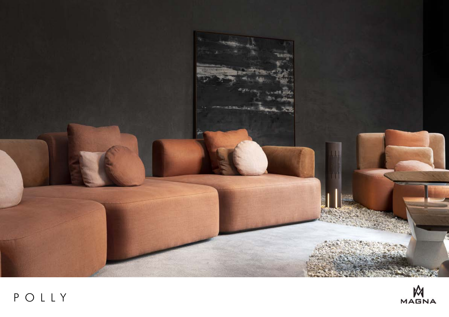

## POLLY